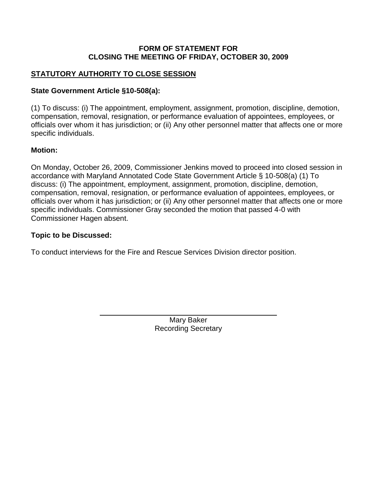#### **FORM OF STATEMENT FOR CLOSING THE MEETING OF FRIDAY, OCTOBER 30, 2009**

# **STATUTORY AUTHORITY TO CLOSE SESSION**

### **State Government Article §10-508(a):**

(1) To discuss: (i) The appointment, employment, assignment, promotion, discipline, demotion, compensation, removal, resignation, or performance evaluation of appointees, employees, or officials over whom it has jurisdiction; or (ii) Any other personnel matter that affects one or more specific individuals.

### **Motion:**

On Monday, October 26, 2009, Commissioner Jenkins moved to proceed into closed session in accordance with Maryland Annotated Code State Government Article § 10-508(a) (1) To discuss: (i) The appointment, employment, assignment, promotion, discipline, demotion, compensation, removal, resignation, or performance evaluation of appointees, employees, or officials over whom it has jurisdiction; or (ii) Any other personnel matter that affects one or more specific individuals. Commissioner Gray seconded the motion that passed 4-0 with Commissioner Hagen absent.

### **Topic to be Discussed:**

To conduct interviews for the Fire and Rescue Services Division director position.

Mary Baker Recording Secretary